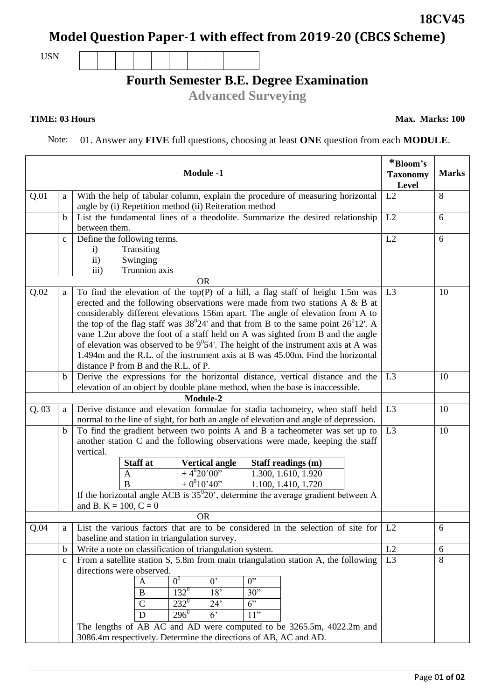## **Model Question Paper-1 with effect from 2019-20 (CBCS Scheme)**

USN

## **Fourth Semester B.E. Degree Examination**

**Advanced Surveying**

## **TIME: 03 Hours**

Note: 01. Answer any **FIVE** full questions, choosing at least **ONE** question from each **MODULE**.

|      |              | <b>Module -1</b>                                                                                                                                                                                                                                                                                                                                                                                                                                                                                                                                                                                                                                                  | *Bloom's<br><b>Taxonomy</b><br>Level | <b>Marks</b> |
|------|--------------|-------------------------------------------------------------------------------------------------------------------------------------------------------------------------------------------------------------------------------------------------------------------------------------------------------------------------------------------------------------------------------------------------------------------------------------------------------------------------------------------------------------------------------------------------------------------------------------------------------------------------------------------------------------------|--------------------------------------|--------------|
| Q.01 | a            | With the help of tabular column, explain the procedure of measuring horizontal<br>angle by (i) Repetition method (ii) Reiteration method                                                                                                                                                                                                                                                                                                                                                                                                                                                                                                                          | L2                                   | 8            |
|      | b            | List the fundamental lines of a theodolite. Summarize the desired relationship<br>between them.                                                                                                                                                                                                                                                                                                                                                                                                                                                                                                                                                                   | L2                                   | 6            |
|      | $\mathbf{C}$ | Define the following terms.<br>Transiting<br>$\mathbf{i}$<br>Swinging<br>$\mathbf{ii}$<br>Trunnion axis<br>iii)                                                                                                                                                                                                                                                                                                                                                                                                                                                                                                                                                   | L2                                   | 6            |
|      |              | <b>OR</b>                                                                                                                                                                                                                                                                                                                                                                                                                                                                                                                                                                                                                                                         |                                      |              |
| Q.02 | a            | To find the elevation of the top(P) of a hill, a flag staff of height $1.5m$ was<br>erected and the following observations were made from two stations $A \& B$ at<br>considerably different elevations 156m apart. The angle of elevation from A to<br>the top of the flag staff was $38^{\circ}24'$ and that from B to the same point $26^{\circ}12'$ . A<br>vane 1.2m above the foot of a staff held on A was sighted from B and the angle<br>of elevation was observed to be $9^0$ 54'. The height of the instrument axis at A was<br>1.494m and the R.L. of the instrument axis at B was 45.00m. Find the horizontal<br>distance P from B and the R.L. of P. | L <sub>3</sub>                       | 10           |
|      | b            | Derive the expressions for the horizontal distance, vertical distance and the                                                                                                                                                                                                                                                                                                                                                                                                                                                                                                                                                                                     | L3                                   | 10           |
|      |              | elevation of an object by double plane method, when the base is inaccessible.                                                                                                                                                                                                                                                                                                                                                                                                                                                                                                                                                                                     |                                      |              |
|      |              | Module-2                                                                                                                                                                                                                                                                                                                                                                                                                                                                                                                                                                                                                                                          |                                      |              |
| Q.03 | a            | Derive distance and elevation formulae for stadia tachometry, when staff held<br>normal to the line of sight, for both an angle of elevation and angle of depression.                                                                                                                                                                                                                                                                                                                                                                                                                                                                                             | L <sub>3</sub>                       | 10           |
|      | $\mathbf b$  | To find the gradient between two points A and B a tacheometer was set up to<br>another station C and the following observations were made, keeping the staff<br>vertical.                                                                                                                                                                                                                                                                                                                                                                                                                                                                                         | L <sub>3</sub>                       | 10           |
|      |              | <b>Staff</b> at<br><b>Vertical angle</b><br>Staff readings (m)                                                                                                                                                                                                                                                                                                                                                                                                                                                                                                                                                                                                    |                                      |              |
|      |              | $+4^{0}20'00"$<br>1.300, 1.610, 1.920<br>A                                                                                                                                                                                                                                                                                                                                                                                                                                                                                                                                                                                                                        |                                      |              |
|      |              | $+0^010'40''$<br>$\bf{B}$<br>1.100, 1.410, 1.720                                                                                                                                                                                                                                                                                                                                                                                                                                                                                                                                                                                                                  |                                      |              |
|      |              | If the horizontal angle ACB is $35^{\circ}20'$ , determine the average gradient between A<br>and B. K = $100, C = 0$                                                                                                                                                                                                                                                                                                                                                                                                                                                                                                                                              |                                      |              |
|      |              | <b>OR</b>                                                                                                                                                                                                                                                                                                                                                                                                                                                                                                                                                                                                                                                         |                                      |              |
| Q.04 | a            | List the various factors that are to be considered in the selection of site for<br>baseline and station in triangulation survey.                                                                                                                                                                                                                                                                                                                                                                                                                                                                                                                                  | L2                                   | 6            |
|      | $\mathbf b$  | Write a note on classification of triangulation system.                                                                                                                                                                                                                                                                                                                                                                                                                                                                                                                                                                                                           | L2                                   | 6            |
|      | $\mathbf{C}$ | From a satellite station S, 5.8m from main triangulation station A, the following                                                                                                                                                                                                                                                                                                                                                                                                                                                                                                                                                                                 | L <sub>3</sub>                       | 8            |
|      |              | directions were observed.                                                                                                                                                                                                                                                                                                                                                                                                                                                                                                                                                                                                                                         |                                      |              |
|      |              | 0 <sup>0</sup><br>$0^{\prime}$<br>$0$ "<br>$\mathbf{A}$                                                                                                                                                                                                                                                                                                                                                                                                                                                                                                                                                                                                           |                                      |              |
|      |              | $132^{0}$<br>18'<br>30"<br>B                                                                                                                                                                                                                                                                                                                                                                                                                                                                                                                                                                                                                                      |                                      |              |
|      |              | $232^0$<br>$\mathbf C$<br>6"<br>24'<br>$296^0$<br>$6^{\circ}$<br>11"<br>D                                                                                                                                                                                                                                                                                                                                                                                                                                                                                                                                                                                         |                                      |              |
|      |              | The lengths of AB AC and AD were computed to be 3265.5m, 4022.2m and                                                                                                                                                                                                                                                                                                                                                                                                                                                                                                                                                                                              |                                      |              |
|      |              | 3086.4m respectively. Determine the directions of AB, AC and AD.                                                                                                                                                                                                                                                                                                                                                                                                                                                                                                                                                                                                  |                                      |              |

**18CV45**

**Max. Marks: 100**